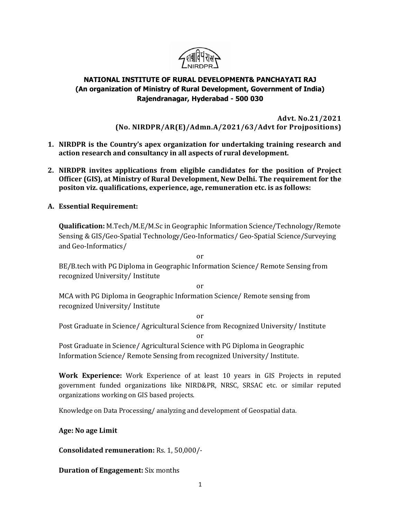

## NATIONAL INSTITUTE OF RURAL DEVELOPMENT& PANCHAYATI RAJ (An organization of Ministry of Rural Development, Government of India) Rajendranagar, Hyderabad - 500 030

Advt. No.21/2021 (No. NIRDPR/AR(E)/Admn.A/2021/63/Advt for Projpositions)

- 1. NIRDPR is the Country's apex organization for undertaking training research and action research and consultancy in all aspects of rural development.
- 2. NIRDPR invites applications from eligible candidates for the position of Project Officer (GIS), at Ministry of Rural Development, New Delhi. The requirement for the positon viz. qualifications, experience, age, remuneration etc. is as follows:
- A. Essential Requirement:

Qualification: M.Tech/M.E/M.Sc in Geographic Information Science/Technology/Remote Sensing & GIS/Geo-Spatial Technology/Geo-Informatics/ Geo-Spatial Science/Surveying and Geo-Informatics/

or

or

BE/B.tech with PG Diploma in Geographic Information Science/ Remote Sensing from recognized University/ Institute

MCA with PG Diploma in Geographic Information Science/ Remote sensing from recognized University/ Institute

or Post Graduate in Science/ Agricultural Science from Recognized University/ Institute

or

Post Graduate in Science/ Agricultural Science with PG Diploma in Geographic Information Science/ Remote Sensing from recognized University/ Institute.

Work Experience: Work Experience of at least 10 years in GIS Projects in reputed government funded organizations like NIRD&PR, NRSC, SRSAC etc. or similar reputed organizations working on GIS based projects.

Knowledge on Data Processing/ analyzing and development of Geospatial data.

## Age: No age Limit

Consolidated remuneration: Rs. 1, 50,000/-

Duration of Engagement: Six months